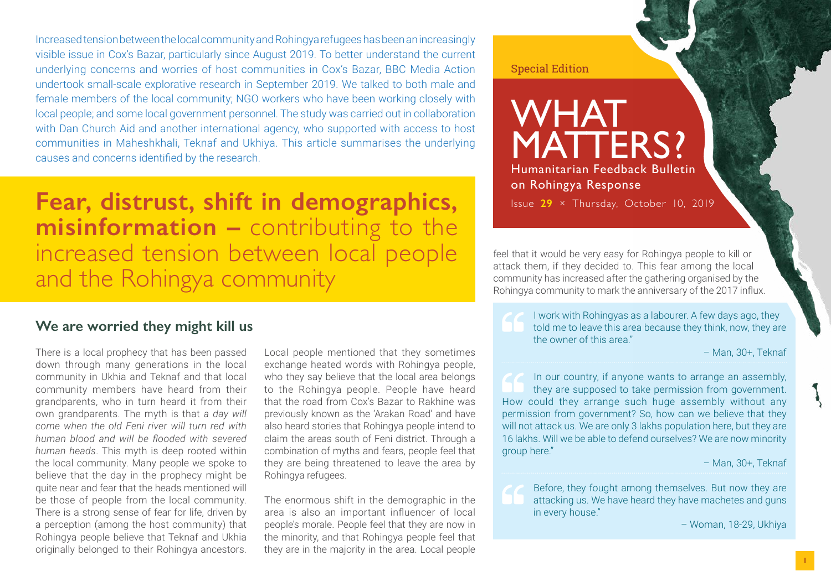Increased tension between the local community and Rohingya refugees has been an increasingly visible issue in Cox's Bazar, particularly since August 2019. To better understand the current underlying concerns and worries of host communities in Cox's Bazar, BBC Media Action undertook small-scale explorative research in September 2019. We talked to both male and female members of the local community; NGO workers who have been working closely with local people; and some local government personnel. The study was carried out in collaboration with Dan Church Aid and another international agency, who supported with access to host communities in Maheshkhali, Teknaf and Ukhiya. This article summarises the underlying causes and concerns identified by the research.

**Fear, distrust, shift in demographics, misinformation –** contributing to the increased tension between local people and the Rohingya community

#### **We are worried they might kill us**

There is a local prophecy that has been passed down through many generations in the local community in Ukhia and Teknaf and that local community members have heard from their grandparents, who in turn heard it from their own grandparents. The myth is that *a day will come when the old Feni river will turn red with human blood and will be flooded with severed human heads*. This myth is deep rooted within the local community. Many people we spoke to believe that the day in the prophecy might be quite near and fear that the heads mentioned will be those of people from the local community. There is a strong sense of fear for life, driven by a perception (among the host community) that Rohingya people believe that Teknaf and Ukhia originally belonged to their Rohingya ancestors.

Local people mentioned that they sometimes exchange heated words with Rohingya people, who they say believe that the local area belongs to the Rohingya people. People have heard that the road from Cox's Bazar to Rakhine was previously known as the 'Arakan Road' and have also heard stories that Rohingya people intend to claim the areas south of Feni district. Through a combination of myths and fears, people feel that they are being threatened to leave the area by Rohingya refugees.

The enormous shift in the demographic in the area is also an important influencer of local people's morale. People feel that they are now in the minority, and that Rohingya people feel that they are in the majority in the area. Local people

#### Special Edition

WHAT MATTERS? Humanitarian Feedback Bulletin on Rohingya Response

Issue **29** × Thursday, October 10, 2019

feel that it would be very easy for Rohingya people to kill or attack them, if they decided to. This fear among the local community has increased after the gathering organised by the Rohingya community to mark the anniversary of the 2017 influx.

I work with Rohingyas as a labourer. A few days ago, they told me to leave this area because they think, now, they are the owner of this area"

– Man, 30+, Teknaf

In our country, if anyone wants to arrange an assembly, they are supposed to take permission from government. How could they arrange such huge assembly without any permission from government? So, how can we believe that they will not attack us. We are only 3 lakhs population here, but they are 16 lakhs. Will we be able to defend ourselves? We are now minority group here."

– Man, 30+, Teknaf

Before, they fought among themselves. But now they are attacking us. We have heard they have machetes and guns in every house."

– Woman, 18-29, Ukhiya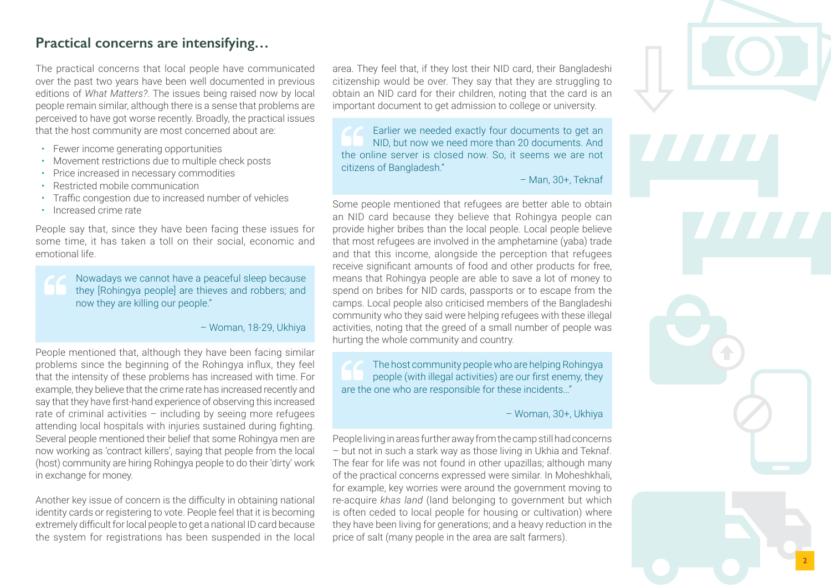### **Practical concerns are intensifying…**

The practical concerns that local people have communicated over the past two years have been well documented in previous editions of *What Matters?*. The issues being raised now by local people remain similar, although there is a sense that problems are perceived to have got worse recently. Broadly, the practical issues that the host community are most concerned about are:

- Fewer income generating opportunities
- Movement restrictions due to multiple check posts
- Price increased in necessary commodities
- Restricted mobile communication
- Traffic congestion due to increased number of vehicles
- Increased crime rate

People say that, since they have been facing these issues for some time, it has taken a toll on their social, economic and emotional life.

Nowadays we cannot have a peaceful sleep because they [Rohingya people] are thieves and robbers; and now they are killing our people."

– Woman, 18-29, Ukhiya

People mentioned that, although they have been facing similar problems since the beginning of the Rohingya influx, they feel that the intensity of these problems has increased with time. For example, they believe that the crime rate has increased recently and say that they have first-hand experience of observing this increased rate of criminal activities – including by seeing more refugees attending local hospitals with injuries sustained during fighting. Several people mentioned their belief that some Rohingya men are now working as 'contract killers', saying that people from the local (host) community are hiring Rohingya people to do their 'dirty' work in exchange for money.

Another key issue of concern is the difficulty in obtaining national identity cards or registering to vote. People feel that it is becoming extremely difficult for local people to get a national ID card because the system for registrations has been suspended in the local area. They feel that, if they lost their NID card, their Bangladeshi citizenship would be over. They say that they are struggling to obtain an NID card for their children, noting that the card is an important document to get admission to college or university.

Earlier we needed exactly four documents to get an NID, but now we need more than 20 documents. And the online server is closed now. So, it seems we are not citizens of Bangladesh."

– Man, 30+, Teknaf

Some people mentioned that refugees are better able to obtain an NID card because they believe that Rohingya people can provide higher bribes than the local people. Local people believe that most refugees are involved in the amphetamine (yaba) trade and that this income, alongside the perception that refugees receive significant amounts of food and other products for free, means that Rohingya people are able to save a lot of money to spend on bribes for NID cards, passports or to escape from the camps. Local people also criticised members of the Bangladeshi community who they said were helping refugees with these illegal activities, noting that the greed of a small number of people was hurting the whole community and country.

The host community people who are helping Rohingya people (with illegal activities) are our first enemy, they are the one who are responsible for these incidents…"

– Woman, 30+, Ukhiya

People living in areas further away from the camp still had concerns – but not in such a stark way as those living in Ukhia and Teknaf. The fear for life was not found in other upazillas; although many of the practical concerns expressed were similar. In Moheshkhali, for example, key worries were around the government moving to re-acquire *khas land* (land belonging to government but which is often ceded to local people for housing or cultivation) where they have been living for generations; and a heavy reduction in the price of salt (many people in the area are salt farmers).

2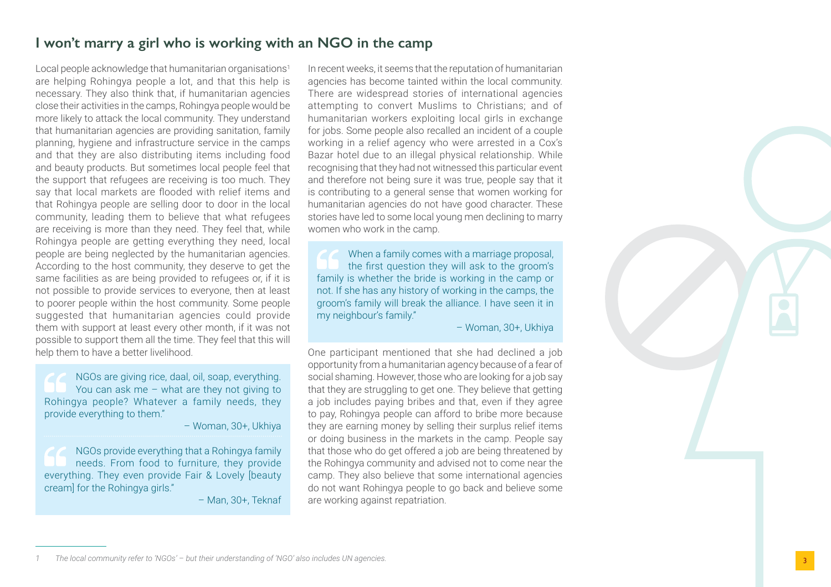# **I won't marry a girl who is working with an NGO in the camp**

Local people acknowledge that humanitarian organisations<sup>1</sup> are helping Rohingya people a lot, and that this help is necessary. They also think that, if humanitarian agencies close their activities in the camps, Rohingya people would be more likely to attack the local community. They understand that humanitarian agencies are providing sanitation, family planning, hygiene and infrastructure service in the camps and that they are also distributing items including food and beauty products. But sometimes local people feel that the support that refugees are receiving is too much. They say that local markets are flooded with relief items and that Rohingya people are selling door to door in the local community, leading them to believe that what refugees are receiving is more than they need. They feel that, while Rohingya people are getting everything they need, local people are being neglected by the humanitarian agencies. According to the host community, they deserve to get the same facilities as are being provided to refugees or, if it is not possible to provide services to everyone, then at least to poorer people within the host community. Some people suggested that humanitarian agencies could provide them with support at least every other month, if it was not possible to support them all the time. They feel that this will help them to have a better livelihood.

NGOs are giving rice, daal, oil, soap, everything. You can ask me – what are they not giving to Rohingya people? Whatever a family needs, they provide everything to them."

– Woman, 30+, Ukhiya

NGOs provide everything that a Rohingya family needs. From food to furniture, they provide everything. They even provide Fair & Lovely [beauty cream] for the Rohingya girls."

– Man, 30+, Teknaf

In recent weeks, it seems that the reputation of humanitarian agencies has become tainted within the local community. There are widespread stories of international agencies attempting to convert Muslims to Christians; and of humanitarian workers exploiting local girls in exchange for jobs. Some people also recalled an incident of a couple working in a relief agency who were arrested in a Cox's Bazar hotel due to an illegal physical relationship. While recognising that they had not witnessed this particular event and therefore not being sure it was true, people say that it is contributing to a general sense that women working for humanitarian agencies do not have good character. These stories have led to some local young men declining to marry women who work in the camp.

When a family comes with a marriage proposal, the first question they will ask to the groom's family is whether the bride is working in the camp or not. If she has any history of working in the camps, the groom's family will break the alliance. I have seen it in my neighbour's family."

– Woman, 30+, Ukhiya

One participant mentioned that she had declined a job opportunity from a humanitarian agency because of a fear of social shaming. However, those who are looking for a job say that they are struggling to get one. They believe that getting a job includes paying bribes and that, even if they agree to pay, Rohingya people can afford to bribe more because they are earning money by selling their surplus relief items or doing business in the markets in the camp. People say that those who do get offered a job are being threatened by the Rohingya community and advised not to come near the camp. They also believe that some international agencies do not want Rohingya people to go back and believe some are working against repatriation.



*<sup>1</sup> The local community refer to 'NGOs' – but their understanding of 'NGO' also includes UN agencies.*